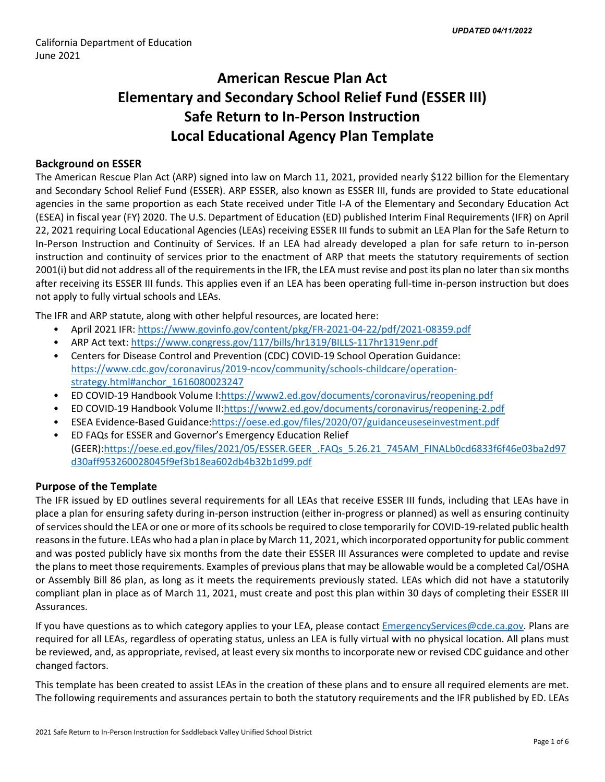# **American Rescue Plan Act Elementary and Secondary School Relief Fund (ESSER III) Safe Return to In-Person Instruction Local Educational Agency Plan Template**

# **Background on ESSER**

The American Rescue Plan Act (ARP) signed into law on March 11, 2021, provided nearly \$122 billion for the Elementary and Secondary School Relief Fund (ESSER). ARP ESSER, also known as ESSER III, funds are provided to State educational agencies in the same proportion as each State received under Title I-A of the Elementary and Secondary Education Act (ESEA) in fiscal year (FY) 2020. The U.S. Department of Education (ED) published Interim Final Requirements (IFR) on April 22, 2021 requiring Local Educational Agencies (LEAs) receiving ESSER III funds to submit an LEA Plan for the Safe Return to In-Person Instruction and Continuity of Services. If an LEA had already developed a plan for safe return to in-person instruction and continuity of services prior to the enactment of ARP that meets the statutory requirements of section 2001(i) but did not address all of the requirements in the IFR, the LEA must revise and post its plan no later than six months after receiving its ESSER III funds. This applies even if an LEA has been operating full-time in-person instruction but does not apply to fully virtual schools and LEAs.

The IFR and ARP statute, along with other helpful resources, are located here:

- April 2021 IFR: <https://www.govinfo.gov/content/pkg/FR-2021-04-22/pdf/2021-08359.pdf>
- ARP Act text: <https://www.congress.gov/117/bills/hr1319/BILLS-117hr1319enr.pdf>
- Centers for Disease Control and Prevention (CDC) COVID-19 School Operation Guidance: [https://www.cdc.gov/coronavirus/2019-ncov/community/schools-childcare/operation](https://www.cdc.gov/coronavirus/2019-ncov/community/schools-childcare/operation-strategy.html#anchor_1616080023247)[strategy.html#anchor\\_1616080023247](https://www.cdc.gov/coronavirus/2019-ncov/community/schools-childcare/operation-strategy.html#anchor_1616080023247)
- ED COVID-19 Handbook Volume I:[https://www2.ed.gov/documents/coronavirus/reopening.pdf](https://www2.ed.gov/documents/coronavirus/reopening.pdf%20)
- ED COVID-19 Handbook Volume II:<https://www2.ed.gov/documents/coronavirus/reopening-2.pdf>
- ESEA Evidence-Based Guidance[:https://oese.ed.gov/files/2020/07/guidanceuseseinvestment.pdf](https://oese.ed.gov/files/2020/07/guidanceuseseinvestment.pdf)
- ED FAQs for ESSER and Governor's Emergency Education Relief (GEER)[:https://oese.ed.gov/files/2021/05/ESSER.GEER\\_.FAQs\\_5.26.21\\_745AM\\_FINALb0cd6833f6f46e03ba2d97](https://oese.ed.gov/files/2021/05/ESSER.GEER_.FAQs_5.26.21_745AM_FINALb0cd6833f6f46e03ba2d97d30aff953260028045f9ef3b18ea602db4b32b1d99.pdf) [d30aff953260028045f9ef3b18ea602db4b32b1d99.pdf](https://oese.ed.gov/files/2021/05/ESSER.GEER_.FAQs_5.26.21_745AM_FINALb0cd6833f6f46e03ba2d97d30aff953260028045f9ef3b18ea602db4b32b1d99.pdf)

# **Purpose of the Template**

The IFR issued by ED outlines several requirements for all LEAs that receive ESSER III funds, including that LEAs have in place a plan for ensuring safety during in-person instruction (either in-progress or planned) as well as ensuring continuity of services should the LEA or one or more of its schools be required to close temporarily for COVID-19-related public health reasons in the future. LEAs who had a plan in place by March 11, 2021, which incorporated opportunity for public comment and was posted publicly have six months from the date their ESSER III Assurances were completed to update and revise the plans to meet those requirements. Examples of previous plans that may be allowable would be a completed Cal/OSHA or Assembly Bill 86 plan, as long as it meets the requirements previously stated. LEAs which did not have a statutorily compliant plan in place as of March 11, 2021, must create and post this plan within 30 days of completing their ESSER III Assurances.

If you have questions as to which category applies to your LEA, please contact [EmergencyServices@cde.ca.gov.](mailto:EmergencyServices@cde.ca.gov) Plans are required for all LEAs, regardless of operating status, unless an LEA is fully virtual with no physical location. All plans must be reviewed, and, as appropriate, revised, at least every six months to incorporate new or revised CDC guidance and other changed factors.

This template has been created to assist LEAs in the creation of these plans and to ensure all required elements are met. The following requirements and assurances pertain to both the statutory requirements and the IFR published by ED. LEAs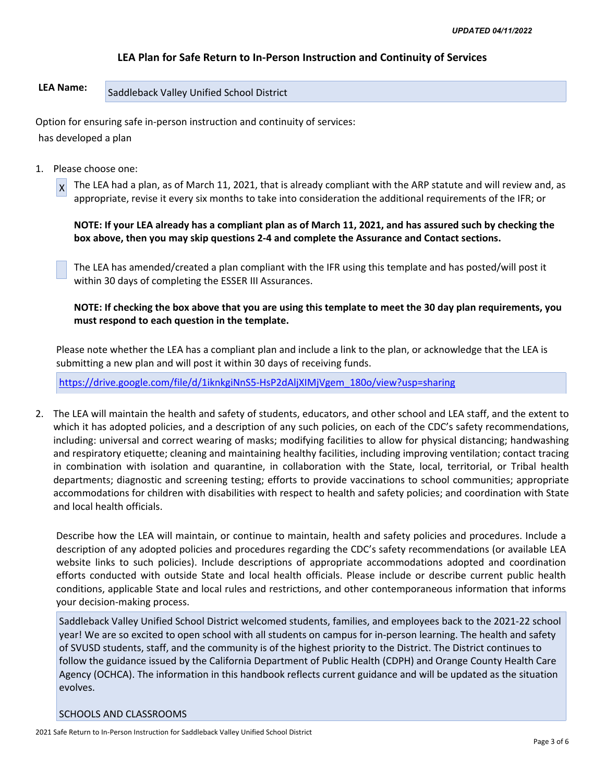# **LEA Plan for Safe Return to In-Person Instruction and Continuity of Services**

# LEA Name: Saddleback Valley Unified School District

Option for ensuring safe in-person instruction and continuity of services: has developed a plan

1. Please choose one:

 $x$  The LEA had a plan, as of March 11, 2021, that is already compliant with the ARP statute and will review and, as appropriate, revise it every six months to take into consideration the additional requirements of the IFR; or

**NOTE: If your LEA already has a compliant plan as of March 11, 2021, and has assured such by checking the box above, then you may skip questions 2-4 and complete the Assurance and Contact sections.**

The LEA has amended/created a plan compliant with the IFR using this template and has posted/will post it within 30 days of completing the ESSER III Assurances.

**NOTE: If checking the box above that you are using this template to meet the 30 day plan requirements, you must respond to each question in the template.**

Please note whether the LEA has a compliant plan and include a link to the plan, or acknowledge that the LEA is submitting a new plan and will post it within 30 days of receiving funds.

[https://drive.google.com/file/d/1iknkgiNnS5-HsP2dAljXIMjVgem\\_180o/view?usp=sharing](https://drive.google.com/file/d/1iknkgiNnS5-HsP2dAljXIMjVgem_180o/view?usp=sharing)

2. The LEA will maintain the health and safety of students, educators, and other school and LEA staff, and the extent to which it has adopted policies, and a description of any such policies, on each of the CDC's safety recommendations, including: universal and correct wearing of masks; modifying facilities to allow for physical distancing; handwashing and respiratory etiquette; cleaning and maintaining healthy facilities, including improving ventilation; contact tracing in combination with isolation and quarantine, in collaboration with the State, local, territorial, or Tribal health departments; diagnostic and screening testing; efforts to provide vaccinations to school communities; appropriate accommodations for children with disabilities with respect to health and safety policies; and coordination with State and local health officials.

Describe how the LEA will maintain, or continue to maintain, health and safety policies and procedures. Include a description of any adopted policies and procedures regarding the CDC's safety recommendations (or available LEA website links to such policies). Include descriptions of appropriate accommodations adopted and coordination efforts conducted with outside State and local health officials. Please include or describe current public health conditions, applicable State and local rules and restrictions, and other contemporaneous information that informs your decision-making process.

Saddleback Valley Unified School District welcomed students, families, and employees back to the 2021-22 school year! We are so excited to open school with all students on campus for in-person learning. The health and safety of SVUSD students, staff, and the community is of the highest priority to the District. The District continues to follow the guidance issued by the California Department of Public Health (CDPH) and Orange County Health Care Agency (OCHCA). The information in this handbook reflects current guidance and will be updated as the situation evolves.

#### SCHOOLS AND CLASSROOMS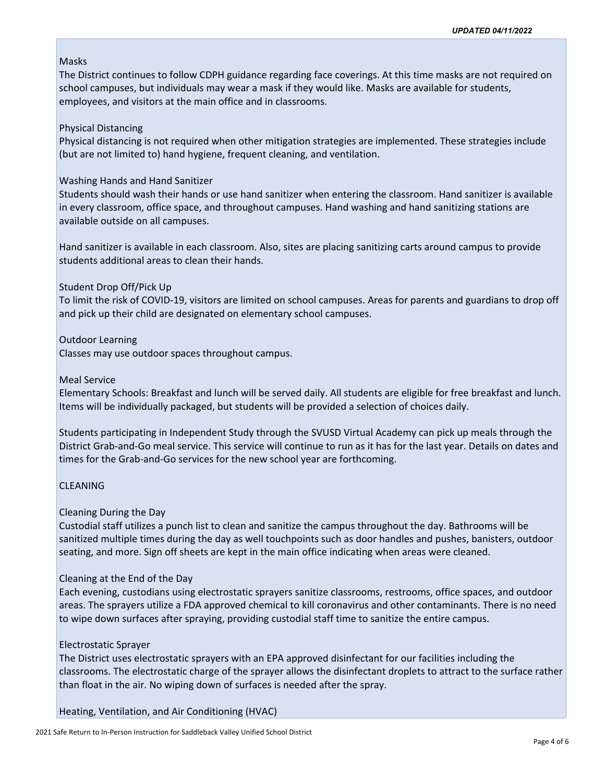# Masks

The District continues to follow CDPH guidance regarding face coverings. At this time masks are not required on school campuses, but individuals may wear a mask if they would like. Masks are available for students, employees, and visitors at the main office and in classrooms.

# Physical Distancing

Physical distancing is not required when other mitigation strategies are implemented. These strategies include (but are not limited to) hand hygiene, frequent cleaning, and ventilation.

# Washing Hands and Hand Sanitizer

Students should wash their hands or use hand sanitizer when entering the classroom. Hand sanitizer is available in every classroom, office space, and throughout campuses. Hand washing and hand sanitizing stations are available outside on all campuses.

Hand sanitizer is available in each classroom. Also, sites are placing sanitizing carts around campus to provide students additional areas to clean their hands.

# Student Drop Off/Pick Up

To limit the risk of COVID-19, visitors are limited on school campuses. Areas for parents and guardians to drop off and pick up their child are designated on elementary school campuses.

# Outdoor Learning

Classes may use outdoor spaces throughout campus.

# Meal Service

Elementary Schools: Breakfast and lunch will be served daily. All students are eligible for free breakfast and lunch. Items will be individually packaged, but students will be provided a selection of choices daily.

Students participating in Independent Study through the SVUSD Virtual Academy can pick up meals through the District Grab-and-Go meal service. This service will continue to run as it has for the last year. Details on dates and times for the Grab-and-Go services for the new school year are forthcoming.

# **CLEANING**

# Cleaning During the Day

Custodial staff utilizes a punch list to clean and sanitize the campus throughout the day. Bathrooms will be sanitized multiple times during the day as well touchpoints such as door handles and pushes, banisters, outdoor seating, and more. Sign off sheets are kept in the main office indicating when areas were cleaned.

# Cleaning at the End of the Day

Each evening, custodians using electrostatic sprayers sanitize classrooms, restrooms, office spaces, and outdoor areas. The sprayers utilize a FDA approved chemical to kill coronavirus and other contaminants. There is no need to wipe down surfaces after spraying, providing custodial staff time to sanitize the entire campus.

# Electrostatic Sprayer

The District uses electrostatic sprayers with an EPA approved disinfectant for our facilities including the classrooms. The electrostatic charge of the sprayer allows the disinfectant droplets to attract to the surface rather than float in the air. No wiping down of surfaces is needed after the spray.

Heating, Ventilation, and Air Conditioning (HVAC)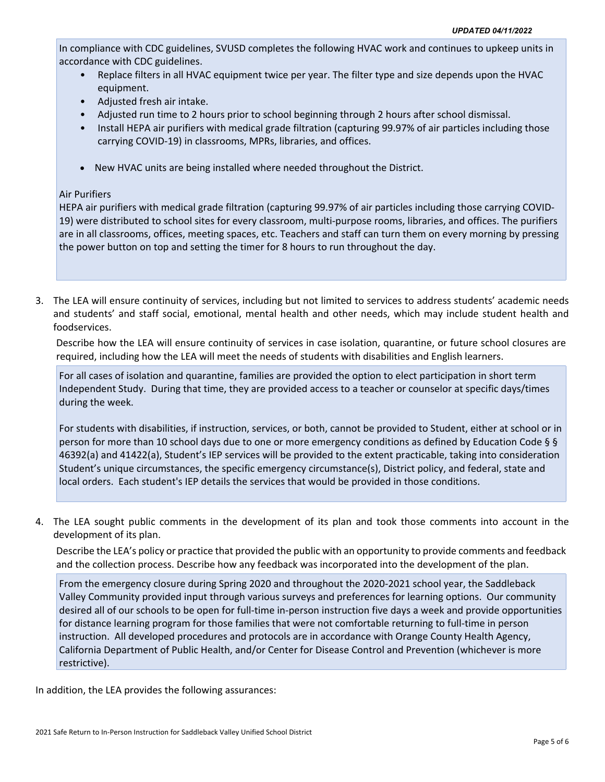In compliance with CDC guidelines, SVUSD completes the following HVAC work and continues to upkeep units in accordance with CDC guidelines.

- Replace filters in all HVAC equipment twice per year. The filter type and size depends upon the HVAC equipment.
- Adjusted fresh air intake.
- Adjusted run time to 2 hours prior to school beginning through 2 hours after school dismissal.
- Install HEPA air purifiers with medical grade filtration (capturing 99.97% of air particles including those carrying COVID-19) in classrooms, MPRs, libraries, and offices.
- New HVAC units are being installed where needed throughout the District.

# Air Purifiers

HEPA air purifiers with medical grade filtration (capturing 99.97% of air particles including those carrying COVID-19) were distributed to school sites for every classroom, multi-purpose rooms, libraries, and offices. The purifiers are in all classrooms, offices, meeting spaces, etc. Teachers and staff can turn them on every morning by pressing the power button on top and setting the timer for 8 hours to run throughout the day.

3. The LEA will ensure continuity of services, including but not limited to services to address students' academic needs and students' and staff social, emotional, mental health and other needs, which may include student health and foodservices.

Describe how the LEA will ensure continuity of services in case isolation, quarantine, or future school closures are required, including how the LEA will meet the needs of students with disabilities and English learners.

For all cases of isolation and quarantine, families are provided the option to elect participation in short term Independent Study. During that time, they are provided access to a teacher or counselor at specific days/times during the week.

For students with disabilities, if instruction, services, or both, cannot be provided to Student, either at school or in person for more than 10 school days due to one or more emergency conditions as defined by Education Code § § 46392(a) and 41422(a), Student's IEP services will be provided to the extent practicable, taking into consideration Student's unique circumstances, the specific emergency circumstance(s), District policy, and federal, state and local orders. Each student's IEP details the services that would be provided in those conditions.

4. The LEA sought public comments in the development of its plan and took those comments into account in the development of its plan.

Describe the LEA's policy or practice that provided the public with an opportunity to provide comments and feedback and the collection process. Describe how any feedback was incorporated into the development of the plan.

From the emergency closure during Spring 2020 and throughout the 2020-2021 school year, the Saddleback Valley Community provided input through various surveys and preferences for learning options. Our community desired all of our schools to be open for full-time in-person instruction five days a week and provide opportunities for distance learning program for those families that were not comfortable returning to full-time in person instruction. All developed procedures and protocols are in accordance with Orange County Health Agency, California Department of Public Health, and/or Center for Disease Control and Prevention (whichever is more restrictive).

In addition, the LEA provides the following assurances: